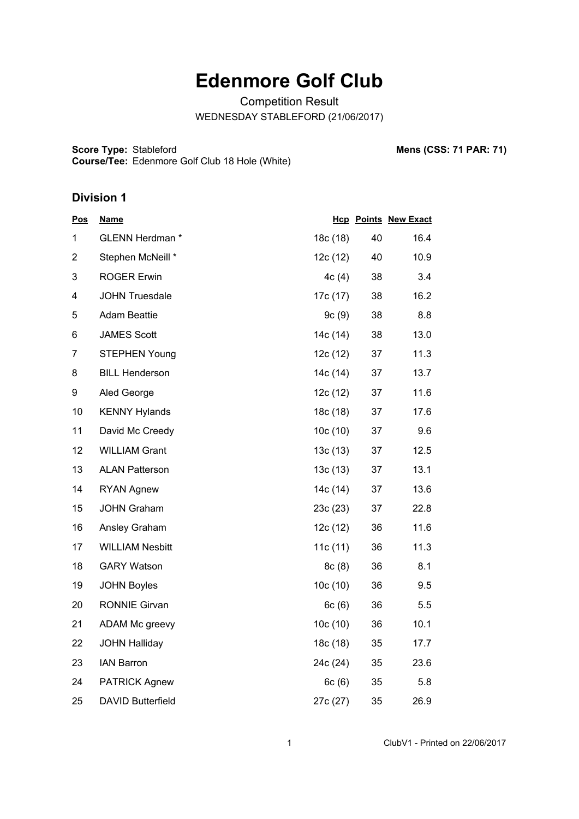# **Edenmore Golf Club**

Competition Result WEDNESDAY STABLEFORD (21/06/2017)

**Score Type: Course/Tee:** Stableford **Mens (CSS: 71 PAR: 71)** Edenmore Golf Club 18 Hole (White)

#### **Division 1**

| <u>Pos</u>     | <b>Name</b>              |          |    | <b>Hcp Points New Exact</b> |
|----------------|--------------------------|----------|----|-----------------------------|
| 1              | GLENN Herdman *          | 18c (18) | 40 | 16.4                        |
| $\overline{2}$ | Stephen McNeill *        | 12c (12) | 40 | 10.9                        |
| 3              | <b>ROGER Erwin</b>       | 4c(4)    | 38 | 3.4                         |
| 4              | <b>JOHN Truesdale</b>    | 17c (17) | 38 | 16.2                        |
| 5              | <b>Adam Beattie</b>      | 9c(9)    | 38 | 8.8                         |
| 6              | <b>JAMES Scott</b>       | 14c (14) | 38 | 13.0                        |
| $\overline{7}$ | <b>STEPHEN Young</b>     | 12c (12) | 37 | 11.3                        |
| 8              | <b>BILL Henderson</b>    | 14c (14) | 37 | 13.7                        |
| 9              | Aled George              | 12c(12)  | 37 | 11.6                        |
| 10             | <b>KENNY Hylands</b>     | 18c(18)  | 37 | 17.6                        |
| 11             | David Mc Creedy          | 10c(10)  | 37 | 9.6                         |
| 12             | <b>WILLIAM Grant</b>     | 13c(13)  | 37 | 12.5                        |
| 13             | <b>ALAN Patterson</b>    | 13c(13)  | 37 | 13.1                        |
| 14             | <b>RYAN Agnew</b>        | 14c (14) | 37 | 13.6                        |
| 15             | <b>JOHN Graham</b>       | 23c(23)  | 37 | 22.8                        |
| 16             | Ansley Graham            | 12c (12) | 36 | 11.6                        |
| 17             | <b>WILLIAM Nesbitt</b>   | 11c(11)  | 36 | 11.3                        |
| 18             | <b>GARY Watson</b>       | 8c(8)    | 36 | 8.1                         |
| 19             | <b>JOHN Boyles</b>       | 10c (10) | 36 | 9.5                         |
| 20             | <b>RONNIE Girvan</b>     | 6c(6)    | 36 | 5.5                         |
| 21             | ADAM Mc greevy           | 10c(10)  | 36 | 10.1                        |
| 22             | <b>JOHN Halliday</b>     | 18c (18) | 35 | 17.7                        |
| 23             | <b>IAN Barron</b>        | 24c (24) | 35 | 23.6                        |
| 24             | <b>PATRICK Agnew</b>     | 6c(6)    | 35 | 5.8                         |
| 25             | <b>DAVID Butterfield</b> | 27c (27) | 35 | 26.9                        |

1 ClubV1 - Printed on 22/06/2017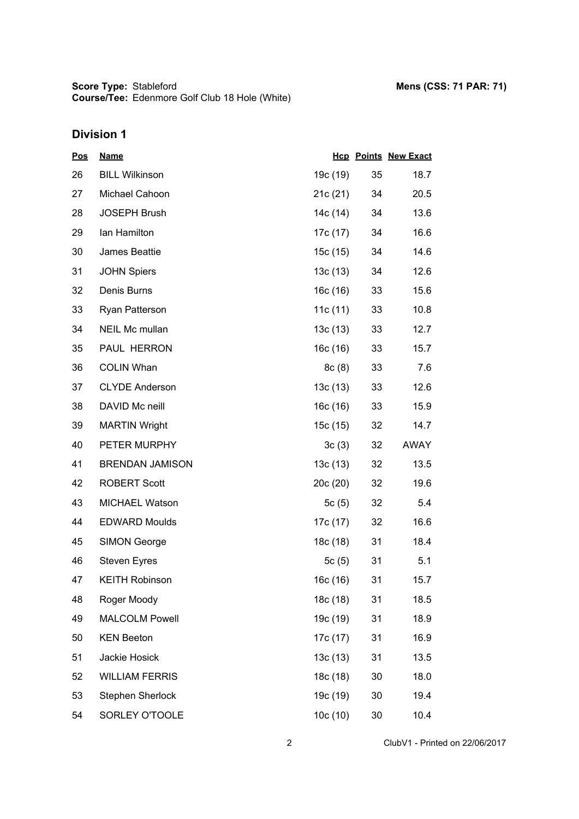## **Division 1**

| <u>Pos</u> | <b>Name</b>            |            |                 | <b>Hcp Points New Exact</b> |
|------------|------------------------|------------|-----------------|-----------------------------|
| 26         | <b>BILL Wilkinson</b>  | 19c (19)   | 35              | 18.7                        |
| 27         | Michael Cahoon         | 21c(21)    | 34              | 20.5                        |
| 28         | <b>JOSEPH Brush</b>    | 14c (14)   | 34              | 13.6                        |
| 29         | lan Hamilton           | 17c (17)   | 34              | 16.6                        |
| 30         | James Beattie          | 15c (15)   | 34              | 14.6                        |
| 31         | <b>JOHN Spiers</b>     | 13c(13)    | 34              | 12.6                        |
| 32         | Denis Burns            | 16c(16)    | 33              | 15.6                        |
| 33         | Ryan Patterson         | 11c $(11)$ | 33              | 10.8                        |
| 34         | NEIL Mc mullan         | 13c(13)    | 33              | 12.7                        |
| 35         | PAUL HERRON            | 16c(16)    | 33              | 15.7                        |
| 36         | <b>COLIN Whan</b>      | 8c(8)      | 33              | 7.6                         |
| 37         | <b>CLYDE Anderson</b>  | 13c(13)    | 33              | 12.6                        |
| 38         | DAVID Mc neill         | 16c(16)    | 33              | 15.9                        |
| 39         | <b>MARTIN Wright</b>   | 15c (15)   | 32              | 14.7                        |
| 40         | PETER MURPHY           | 3c(3)      | 32 <sub>2</sub> | AWAY                        |
| 41         | <b>BRENDAN JAMISON</b> | 13c(13)    | 32              | 13.5                        |
| 42         | <b>ROBERT Scott</b>    | 20c(20)    | 32              | 19.6                        |
| 43         | MICHAEL Watson         | 5c(5)      | 32              | 5.4                         |
| 44         | <b>EDWARD Moulds</b>   | 17c (17)   | 32              | 16.6                        |
| 45         | <b>SIMON George</b>    | 18c (18)   | 31              | 18.4                        |
| 46         | <b>Steven Eyres</b>    | 5c(5)      | 31              | 5.1                         |
| 47         | <b>KEITH Robinson</b>  | 16c (16)   | 31              | 15.7                        |
| 48         | Roger Moody            | 18c (18)   | 31              | 18.5                        |
| 49         | <b>MALCOLM Powell</b>  | 19c (19)   | 31              | 18.9                        |
| 50         | <b>KEN Beeton</b>      | 17c (17)   | 31              | 16.9                        |
| 51         | Jackie Hosick          | 13c(13)    | 31              | 13.5                        |
| 52         | <b>WILLIAM FERRIS</b>  | 18c (18)   | 30              | 18.0                        |
| 53         | Stephen Sherlock       | 19c (19)   | 30              | 19.4                        |
| 54         | SORLEY O'TOOLE         | 10c(10)    | 30              | 10.4                        |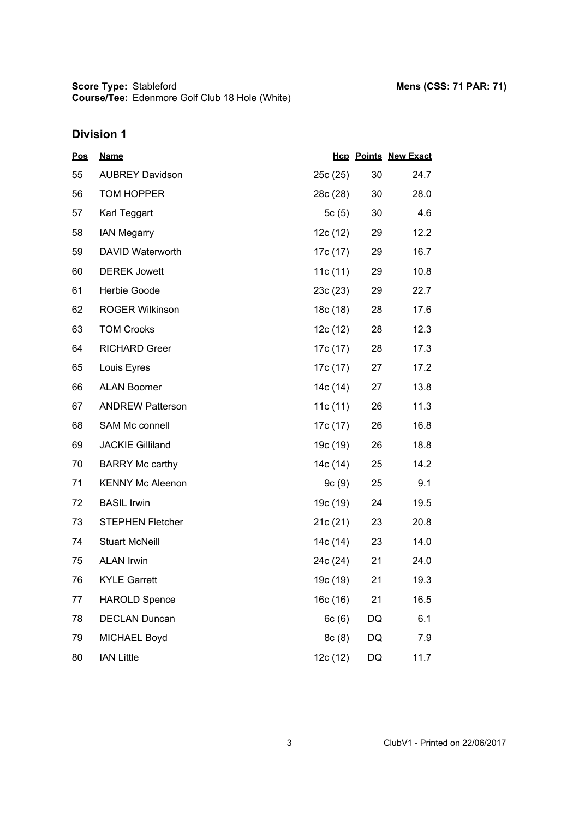**Score Type: Course/Tee:** Stableford **Mens (CSS: 71 PAR: 71)** Edenmore Golf Club 18 Hole (White)

## **Division 1**

| <u>Pos</u> | <b>Name</b>             |          |    | <b>Hcp Points New Exact</b> |
|------------|-------------------------|----------|----|-----------------------------|
| 55         | <b>AUBREY Davidson</b>  | 25c (25) | 30 | 24.7                        |
| 56         | TOM HOPPER              | 28c (28) | 30 | 28.0                        |
| 57         | Karl Teggart            | 5c(5)    | 30 | 4.6                         |
| 58         | <b>IAN Megarry</b>      | 12c (12) | 29 | 12.2                        |
| 59         | DAVID Waterworth        | 17c (17) | 29 | 16.7                        |
| 60         | <b>DEREK Jowett</b>     | 11c (11) | 29 | 10.8                        |
| 61         | Herbie Goode            | 23c(23)  | 29 | 22.7                        |
| 62         | <b>ROGER Wilkinson</b>  | 18c (18) | 28 | 17.6                        |
| 63         | <b>TOM Crooks</b>       | 12c (12) | 28 | 12.3                        |
| 64         | <b>RICHARD Greer</b>    | 17c (17) | 28 | 17.3                        |
| 65         | Louis Eyres             | 17c (17) | 27 | 17.2                        |
| 66         | <b>ALAN Boomer</b>      | 14c (14) | 27 | 13.8                        |
| 67         | <b>ANDREW Patterson</b> | 11c(11)  | 26 | 11.3                        |
| 68         | SAM Mc connell          | 17c (17) | 26 | 16.8                        |
| 69         | <b>JACKIE Gilliland</b> | 19c (19) | 26 | 18.8                        |
| 70         | <b>BARRY Mc carthy</b>  | 14c (14) | 25 | 14.2                        |
| 71         | <b>KENNY Mc Aleenon</b> | 9c(9)    | 25 | 9.1                         |
| 72         | <b>BASIL Irwin</b>      | 19c (19) | 24 | 19.5                        |
| 73         | <b>STEPHEN Fletcher</b> | 21c(21)  | 23 | 20.8                        |
| 74         | <b>Stuart McNeill</b>   | 14c (14) | 23 | 14.0                        |
| 75         | <b>ALAN Irwin</b>       | 24c (24) | 21 | 24.0                        |
| 76         | <b>KYLE Garrett</b>     | 19c (19) | 21 | 19.3                        |
| 77         | <b>HAROLD Spence</b>    | 16c (16) | 21 | 16.5                        |
| 78         | <b>DECLAN Duncan</b>    | 6c(6)    | DQ | 6.1                         |
| 79         | MICHAEL Boyd            | 8c(8)    | DQ | 7.9                         |
| 80         | <b>IAN Little</b>       | 12c (12) | DQ | 11.7                        |